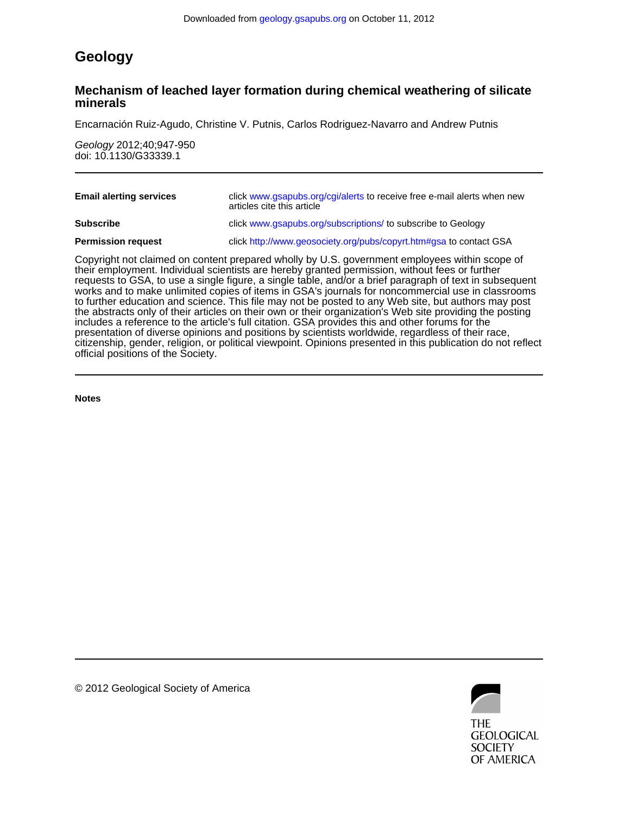## **Geology**

### **minerals Mechanism of leached layer formation during chemical weathering of silicate**

Encarnación Ruiz-Agudo, Christine V. Putnis, Carlos Rodriguez-Navarro and Andrew Putnis

doi: 10.1130/G33339.1 Geology 2012;40;947-950

| <b>Email alerting services</b> | click www.gsapubs.org/cgi/alerts to receive free e-mail alerts when new<br>articles cite this article                                                                                                                                                                                                      |
|--------------------------------|------------------------------------------------------------------------------------------------------------------------------------------------------------------------------------------------------------------------------------------------------------------------------------------------------------|
| <b>Subscribe</b>               | click www.gsapubs.org/subscriptions/ to subscribe to Geology                                                                                                                                                                                                                                               |
| <b>Permission request</b>      | click http://www.geosociety.org/pubs/copyrt.htm#gsa to contact GSA                                                                                                                                                                                                                                         |
|                                | Copyright not claimed on content prepared wholly by U.S. government employees within scope of<br>their employment. Individual scientists are hereby granted permission, without fees or further<br>requests to GSA, to use a single figure, a single table, and/or a brief paragraph of text in subsequent |

official positions of the Society. citizenship, gender, religion, or political viewpoint. Opinions presented in this publication do not reflect presentation of diverse opinions and positions by scientists worldwide, regardless of their race, includes a reference to the article's full citation. GSA provides this and other forums for the the abstracts only of their articles on their own or their organization's Web site providing the posting to further education and science. This file may not be posted to any Web site, but authors may post works and to make unlimited copies of items in GSA's journals for noncommercial use in classrooms requests to GSA, to use a single figure, a single table, and/or a brief paragraph of text in subsequent

**Notes**



© 2012 Geological Society of America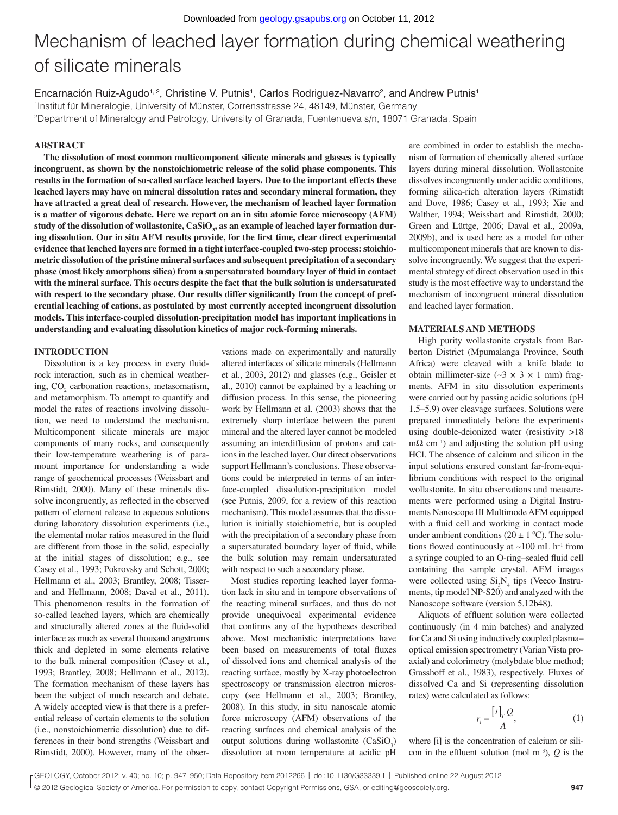# Mechanism of leached layer formation during chemical weathering of silicate minerals

Encarnación Ruiz-Agudo<sup>1, 2</sup>, Christine V. Putnis<sup>1</sup>, Carlos Rodriguez-Navarro<sup>2</sup>, and Andrew Putnis<sup>1</sup> 1Institut für Mineralogie, University of Münster, Corrensstrasse 24, 48149, Münster, Germany 2Department of Mineralogy and Petrology, University of Granada, Fuentenueva s/n, 18071 Granada, Spain

#### **ABSTRACT**

**The dissolution of most common multicomponent silicate minerals and glasses is typically incongruent, as shown by the nonstoichiometric release of the solid phase components. This results in the formation of so-called surface leached layers. Due to the important effects these leached layers may have on mineral dissolution rates and secondary mineral formation, they have attracted a great deal of research. However, the mechanism of leached layer formation is a matter of vigorous debate. Here we report on an in situ atomic force microscopy (AFM) study of the dissolution of wollastonite, CaSiO3 , as an example of leached layer formation dur**ing dissolution. Our in situ AFM results provide, for the first time, clear direct experimental **evidence that leached layers are formed in a tight interface-coupled two-step process: stoichiometric dissolution of the pristine mineral surfaces and subsequent precipitation of a secondary**  phase (most likely amorphous silica) from a supersaturated boundary layer of fluid in contact **with the mineral surface. This occurs despite the fact that the bulk solution is undersaturated**  with respect to the secondary phase. Our results differ significantly from the concept of pref**erential leaching of cations, as postulated by most currently accepted incongruent dissolution models. This interface-coupled dissolution-precipitation model has important implications in understanding and evaluating dissolution kinetics of major rock-forming minerals.**

#### **INTRODUCTION**

Dissolution is a key process in every fluidrock interaction, such as in chemical weathering,  $CO<sub>2</sub>$  carbonation reactions, metasomatism, and metamorphism. To attempt to quantify and model the rates of reactions involving dissolution, we need to understand the mechanism. Multicomponent silicate minerals are major components of many rocks, and consequently their low-temperature weathering is of paramount importance for understanding a wide range of geochemical processes (Weissbart and Rimstidt, 2000). Many of these minerals dissolve incongruently, as reflected in the observed pattern of element release to aqueous solutions during laboratory dissolution experiments (i.e., the elemental molar ratios measured in the fluid are different from those in the solid, especially at the initial stages of dissolution; e.g., see Casey et al., 1993; Pokrovsky and Schott, 2000; Hellmann et al., 2003; Brantley, 2008; Tisserand and Hellmann, 2008; Daval et al., 2011). This phenomenon results in the formation of so-called leached layers, which are chemically and structurally altered zones at the fluid-solid interface as much as several thousand angstroms thick and depleted in some elements relative to the bulk mineral composition (Casey et al., 1993; Brantley, 2008; Hellmann et al., 2012). The formation mechanism of these layers has been the subject of much research and debate. A widely accepted view is that there is a preferential release of certain elements to the solution (i.e., nonstoichiometric dissolution) due to differences in their bond strengths (Weissbart and Rimstidt, 2000). However, many of the obser-

vations made on experimentally and naturally altered interfaces of silicate minerals (Hellmann et al., 2003, 2012) and glasses (e.g., Geisler et al., 2010) cannot be explained by a leaching or diffusion process. In this sense, the pioneering work by Hellmann et al. (2003) shows that the extremely sharp interface between the parent mineral and the altered layer cannot be modeled assuming an interdiffusion of protons and cations in the leached layer. Our direct observations support Hellmann's conclusions. These observations could be interpreted in terms of an interface-coupled dissolution-precipitation model (see Putnis, 2009, for a review of this reaction mechanism). This model assumes that the dissolution is initially stoichiometric, but is coupled with the precipitation of a secondary phase from a supersaturated boundary layer of fluid, while the bulk solution may remain undersaturated with respect to such a secondary phase.

Most studies reporting leached layer formation lack in situ and in tempore observations of the reacting mineral surfaces, and thus do not provide unequivocal experimental evidence that confirms any of the hypotheses described above. Most mechanistic interpretations have been based on measurements of total fluxes of dissolved ions and chemical analysis of the reacting surface, mostly by X-ray photoelectron spectroscopy or transmission electron microscopy (see Hellmann et al., 2003; Brantley, 2008). In this study, in situ nanoscale atomic force microscopy (AFM) observations of the reacting surfaces and chemical analysis of the output solutions during wollastonite  $(CaSiO<sub>3</sub>)$ dissolution at room temperature at acidic pH

are combined in order to establish the mechanism of formation of chemically altered surface layers during mineral dissolution. Wollastonite dissolves incongruently under acidic conditions, forming silica-rich alteration layers (Rimstidt and Dove, 1986; Casey et al., 1993; Xie and Walther, 1994; Weissbart and Rimstidt, 2000; Green and Lüttge, 2006; Daval et al., 2009a, 2009b), and is used here as a model for other multicomponent minerals that are known to dissolve incongruently. We suggest that the experimental strategy of direct observation used in this study is the most effective way to understand the mechanism of incongruent mineral dissolution and leached layer formation.

#### **MATERIALS AND METHODS**

High purity wollastonite crystals from Barberton District (Mpumalanga Province, South Africa) were cleaved with a knife blade to obtain millimeter-size  $({\sim}3 \times 3 \times 1$  mm) fragments. AFM in situ dissolution experiments were carried out by passing acidic solutions (pH 1.5–5.9) over cleavage surfaces. Solutions were prepared immediately before the experiments using double-deionized water (resistivity >18  $m\Omega$  cm<sup>-1</sup>) and adjusting the solution pH using HCl. The absence of calcium and silicon in the input solutions ensured constant far-from-equilibrium conditions with respect to the original wollastonite. In situ observations and measurements were performed using a Digital Instruments Nanoscope III Multimode AFM equipped with a fluid cell and working in contact mode under ambient conditions ( $20 \pm 1$  °C). The solutions flowed continuously at  $\sim$ 100 mL h<sup>-1</sup> from a syringe coupled to an O-ring–sealed fluid cell containing the sample crystal. AFM images were collected using  $Si<sub>3</sub>N<sub>4</sub>$  tips (Veeco Instruments, tip model NP-S20) and analyzed with the Nanoscope software (version 5.12b48).

Aliquots of effluent solution were collected continuously (in 4 min batches) and analyzed for Ca and Si using inductively coupled plasma– optical emission spectrometry (Varian Vista proaxial) and colorimetry (molybdate blue method; Grasshoff et al., 1983), respectively. Fluxes of dissolved Ca and Si (representing dissolution rates) were calculated as follows:

$$
r_{\rm i} = \frac{\left[i\right]_T Q}{A},\tag{1}
$$

where [i] is the concentration of calcium or silicon in the effluent solution (mol  $m^{-3}$ ), *Q* is the

<sup>© 2012</sup> Geological Society of America. For permission to copy, contact Copyright Permissions, GSA, or editing@geosociety.org.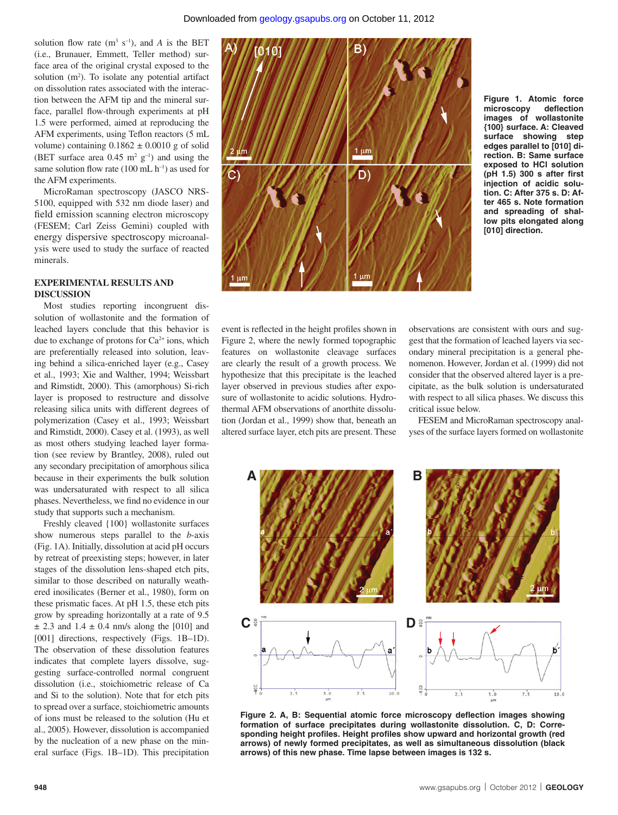solution flow rate  $(m^3 s^{-1})$ , and *A* is the BET (i.e., Brunauer, Emmett, Teller method) surface area of the original crystal exposed to the solution (m<sup>2</sup>). To isolate any potential artifact on dissolution rates associated with the interaction between the AFM tip and the mineral surface, parallel flow-through experiments at pH 1.5 were performed, aimed at reproducing the AFM experiments, using Teflon reactors (5 mL volume) containing  $0.1862 \pm 0.0010$  g of solid (BET surface area  $0.45 \text{ m}^2 \text{ g}^{-1}$ ) and using the same solution flow rate  $(100 \text{ mL h}^{-1})$  as used for the AFM experiments.

MicroRaman spectroscopy (JASCO NRS-5100, equipped with 532 nm diode laser) and field emission scanning electron microscopy (FESEM; Carl Zeiss Gemini) coupled with energy dispersive spectroscopy microanalysis were used to study the surface of reacted minerals.

#### **EXPERIMENTAL RESULTS AND DISCUSSION**

Most studies reporting incongruent dissolution of wollastonite and the formation of leached layers conclude that this behavior is due to exchange of protons for  $Ca^{2+}$  ions, which are preferentially released into solution, leaving behind a silica-enriched layer (e.g., Casey et al., 1993; Xie and Walther, 1994; Weissbart and Rimstidt, 2000). This (amorphous) Si-rich layer is proposed to restructure and dissolve releasing silica units with different degrees of polymerization (Casey et al., 1993; Weissbart and Rimstidt, 2000). Casey et al. (1993), as well as most others studying leached layer formation (see review by Brantley, 2008), ruled out any secondary precipitation of amorphous silica because in their experiments the bulk solution was undersaturated with respect to all silica phases. Nevertheless, we find no evidence in our study that supports such a mechanism.

Freshly cleaved {100} wollastonite surfaces show numerous steps parallel to the *b*-axis (Fig. 1A). Initially, dissolution at acid pH occurs by retreat of preexisting steps; however, in later stages of the dissolution lens-shaped etch pits, similar to those described on naturally weathered inosilicates (Berner et al., 1980), form on these prismatic faces. At pH 1.5, these etch pits grow by spreading horizontally at a rate of 9.5  $\pm$  2.3 and 1.4  $\pm$  0.4 nm/s along the [010] and [001] directions, respectively (Figs. 1B-1D). The observation of these dissolution features indicates that complete layers dissolve, suggesting surface-controlled normal congruent dissolution (i.e., stoichiometric release of Ca and Si to the solution). Note that for etch pits to spread over a surface, stoichiometric amounts of ions must be released to the solution (Hu et al., 2005). However, dissolution is accompanied by the nucleation of a new phase on the mineral surface (Figs. 1B–1D). This precipitation



**Figure 1. Atomic force**  microscopy **images of wollastonite {100} surface. A: Cleaved surface showing step edges parallel to [010] direction. B: Same surface exposed to HCl solution**  ( $pH$  1.5) 300 s after first **injection of acidic solution. C: After 375 s. D: After 465 s. Note formation and spreading of shallow pits elongated along [010] direction.**

event is reflected in the height profiles shown in Figure 2, where the newly formed topographic features on wollastonite cleavage surfaces are clearly the result of a growth process. We hypothesize that this precipitate is the leached layer observed in previous studies after exposure of wollastonite to acidic solutions. Hydrothermal AFM observations of anorthite dissolution (Jordan et al., 1999) show that, beneath an altered surface layer, etch pits are present. These

observations are consistent with ours and suggest that the formation of leached layers via secondary mineral precipitation is a general phenomenon. However, Jordan et al. (1999) did not consider that the observed altered layer is a precipitate, as the bulk solution is undersaturated with respect to all silica phases. We discuss this critical issue below.

FESEM and MicroRaman spectroscopy analyses of the surface layers formed on wollastonite



Figure 2. A, B: Sequential atomic force microscopy deflection images showing **forma tion of surface precipitates during wollastonite dissolution. C, D: Corre**sponding height profiles. Height profiles show upward and horizontal growth (red **arrows) of newly formed precipitates, as well as simultaneous dissolution (black arrows) of this new phase. Time lapse between images is 132 s.**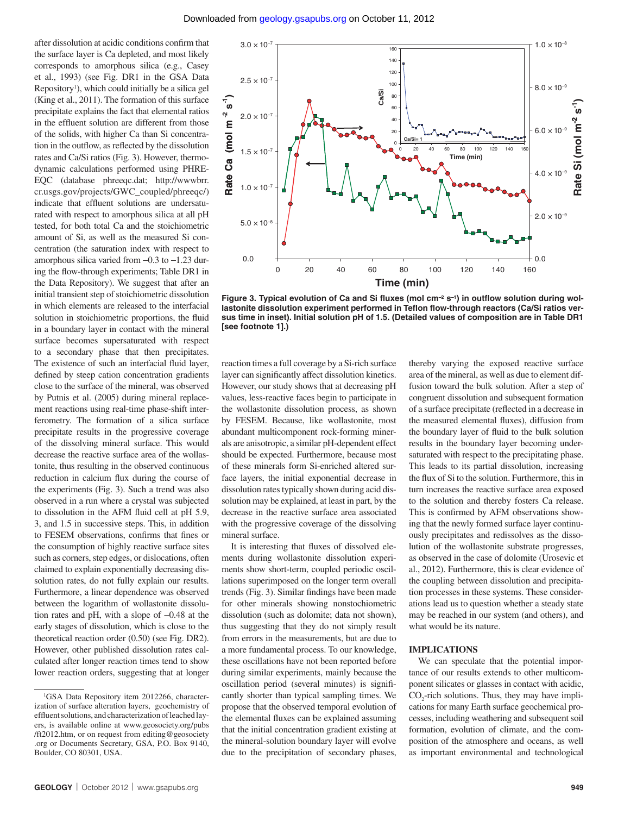after dissolution at acidic conditions confirm that the surface layer is Ca depleted, and most likely corresponds to amorphous silica (e.g., Casey et al., 1993) (see Fig. DR1 in the GSA Data Repository<sup>1</sup>), which could initially be a silica gel (King et al., 2011). The formation of this surface precipitate explains the fact that elemental ratios in the effluent solution are different from those of the solids, with higher Ca than Si concentration in the outflow, as reflected by the dissolution rates and Ca/Si ratios (Fig. 3). However, thermodynamic calculations performed using PHRE-EQC (database phreeqc.dat; http://wwwbrr. cr.usgs.gov/projects/GWC\_coupled/phreeqc/) indicate that effluent solutions are undersaturated with respect to amorphous silica at all pH tested, for both total Ca and the stoichiometric amount of Si, as well as the measured Si concentration (the saturation index with respect to amorphous silica varied from −0.3 to −1.23 during the flow-through experiments; Table DR1 in the Data Repository). We suggest that after an initial transient step of stoichiometric dissolution in which elements are released to the interfacial solution in stoichiometric proportions, the fluid in a boundary layer in contact with the mineral surface becomes supersaturated with respect to a secondary phase that then precipitates. The existence of such an interfacial fluid layer, defined by steep cation concentration gradients close to the surface of the mineral, was observed by Putnis et al. (2005) during mineral replacement reactions using real-time phase-shift interferometry. The formation of a silica surface precipitate results in the progressive coverage of the dissolving mineral surface. This would decrease the reactive surface area of the wollastonite, thus resulting in the observed continuous reduction in calcium flux during the course of the experiments (Fig. 3). Such a trend was also observed in a run where a crystal was subjected to dissolution in the AFM fluid cell at pH 5.9, 3, and 1.5 in successive steps. This, in addition to FESEM observations, confirms that fines or the consumption of highly reactive surface sites such as corners, step edges, or dislocations, often claimed to explain exponentially decreasing dissolution rates, do not fully explain our results. Furthermore, a linear dependence was observed between the logarithm of wollastonite dissolution rates and pH, with a slope of −0.48 at the early stages of dissolution, which is close to the theoretical reaction order (0.50) (see Fig. DR2). However, other published dissolution rates calculated after longer reaction times tend to show lower reaction orders, suggesting that at longer



Figure 3. Typical evolution of Ca and Si fluxes (mol cm<sup>-2</sup> s<sup>-1</sup>) in outflow solution during wollastonite dissolution experiment performed in Teflon flow-through reactors (Ca/Si ratios ver**sus time in inset). Initial solution pH of 1.5. (Detailed values of composition are in Table DR1 [see footnote 1].)**

reaction times a full coverage by a Si-rich surface layer can significantly affect dissolution kinetics. However, our study shows that at decreasing pH values, less-reactive faces begin to participate in the wollastonite dissolution process, as shown by FESEM. Because, like wollastonite, most abundant multicomponent rock-forming minerals are anisotropic, a similar pH-dependent effect should be expected. Furthermore, because most of these minerals form Si-enriched altered surface layers, the initial exponential decrease in dissolution rates typically shown during acid dissolution may be explained, at least in part, by the decrease in the reactive surface area associated with the progressive coverage of the dissolving mineral surface.

It is interesting that fluxes of dissolved elements during wollastonite dissolution experiments show short-term, coupled periodic oscillations superimposed on the longer term overall trends (Fig. 3). Similar findings have been made for other minerals showing nonstochiometric dissolution (such as dolomite; data not shown), thus suggesting that they do not simply result from errors in the measurements, but are due to a more fundamental process. To our knowledge, these oscillations have not been reported before during similar experiments, mainly because the oscillation period (several minutes) is significantly shorter than typical sampling times. We propose that the observed temporal evolution of the elemental fluxes can be explained assuming that the initial concentration gradient existing at the mineral-solution boundary layer will evolve due to the precipitation of secondary phases,

thereby varying the exposed reactive surface area of the mineral, as well as due to element diffusion toward the bulk solution. After a step of congruent dissolution and subsequent formation of a surface precipitate (reflected in a decrease in the measured elemental fluxes), diffusion from the boundary layer of fluid to the bulk solution results in the boundary layer becoming undersaturated with respect to the precipitating phase. This leads to its partial dissolution, increasing the flux of Si to the solution. Furthermore, this in turn increases the reactive surface area exposed to the solution and thereby fosters Ca release. This is confirmed by AFM observations showing that the newly formed surface layer continuously precipitates and redissolves as the dissolution of the wollastonite substrate progresses, as observed in the case of dolomite (Urosevic et al., 2012). Furthermore, this is clear evidence of the coupling between dissolution and precipitation processes in these systems. These considerations lead us to question whether a steady state may be reached in our system (and others), and what would be its nature.

#### **IMPLICATIONS**

We can speculate that the potential importance of our results extends to other multicomponent silicates or glasses in contact with acidic,  $CO_2$ -rich solutions. Thus, they may have implications for many Earth surface geochemical processes, including weathering and subsequent soil formation, evolution of climate, and the composition of the atmosphere and oceans, as well as important environmental and technological

<sup>1</sup> GSA Data Repository item 2012266, characterization of surface alteration layers, geochemistry of effluent solutions, and characterization of leached layers, is available online at www.geosociety.org/pubs /ft2012.htm, or on request from editing@geosociety .org or Documents Secretary, GSA, P.O. Box 9140, Boulder, CO 80301, USA.